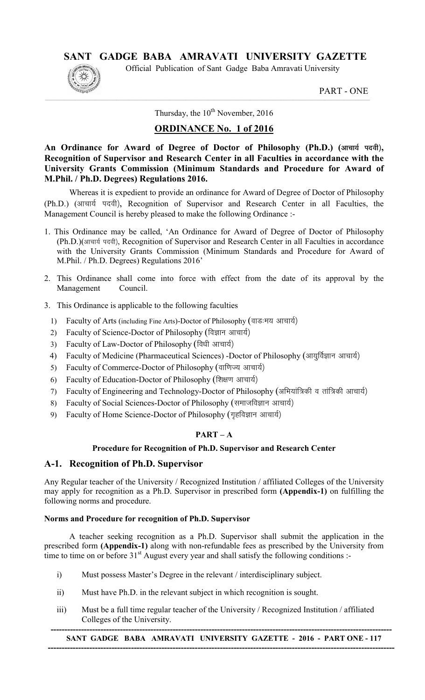# SANT GADGE BABA AMRAVATI UNIVERSITY GAZETTE

Official Publication of Sant Gadge Baba Amravati University

PART - ONE

Thursday, the  $10^{th}$  November, 2016

 $\_$  , and the state of the state of the state of the state of the state of the state of the state of the state of the state of the state of the state of the state of the state of the state of the state of the state of the

# ORDINANCE No. 1 of 2016

An Ordinance for Award of Degree of Doctor of Philosophy (Ph.D.) (आचार्य पदवी), Recognition of Supervisor and Research Center in all Faculties in accordance with the University Grants Commission (Minimum Standards and Procedure for Award of M.Phil. / Ph.D. Degrees) Regulations 2016.

 Whereas it is expedient to provide an ordinance for Award of Degree of Doctor of Philosophy (Ph.D.) (आचार्य पदवी), Recognition of Supervisor and Research Center in all Faculties, the Management Council is hereby pleased to make the following Ordinance :-

- 1. This Ordinance may be called, 'An Ordinance for Award of Degree of Doctor of Philosophy (Ph.D.)(आचार्य पदवी), Recognition of Supervisor and Research Center in all Faculties in accordance with the University Grants Commission (Minimum Standards and Procedure for Award of M.Phil. / Ph.D. Degrees) Regulations 2016'
- 2. This Ordinance shall come into force with effect from the date of its approval by the Management Council.
- 3. This Ordinance is applicable to the following faculties
	- 1) Faculty of Arts (including Fine Arts)-Doctor of Philosophy (वाडःमय आचार्य)
	- 2) Faculty of Science-Doctor of Philosophy (विज्ञान आचार्य)
	- 3) Faculty of Law-Doctor of Philosophy (विधी आचार्य)
	- 4) Faculty of Medicine (Pharmaceutical Sciences) -Doctor of Philosophy (आयुर्विज्ञान आचार्य)
	- 5) Faculty of Commerce-Doctor of Philosophy (वाणिज्य आचार्य)
	- 6) Faculty of Education-Doctor of Philosophy (शिक्षण आचार्य)
	- 7) Faculty of Engineering and Technology-Doctor of Philosophy (अभियांत्रिकी व तांत्रिकी आचार्य)
	- 8) Faculty of Social Sciences-Doctor of Philosophy (समाजविज्ञान आचार्य)
	- 9) Faculty of Home Science-Doctor of Philosophy (गृहविज्ञान आचार्य)

# $PART - A$

## Procedure for Recognition of Ph.D. Supervisor and Research Center

# A-1. Recognition of Ph.D. Supervisor

Any Regular teacher of the University / Recognized Institution / affiliated Colleges of the University may apply for recognition as a Ph.D. Supervisor in prescribed form (Appendix-1) on fulfilling the following norms and procedure.

## Norms and Procedure for recognition of Ph.D. Supervisor

A teacher seeking recognition as a Ph.D. Supervisor shall submit the application in the prescribed form (Appendix-1) along with non-refundable fees as prescribed by the University from time to time on or before  $31<sup>st</sup>$  August every year and shall satisfy the following conditions :-

- i) Must possess Master's Degree in the relevant / interdisciplinary subject.
- ii) Must have Ph.D. in the relevant subject in which recognition is sought.
- iii) Must be a full time regular teacher of the University / Recognized Institution / affiliated Colleges of the University.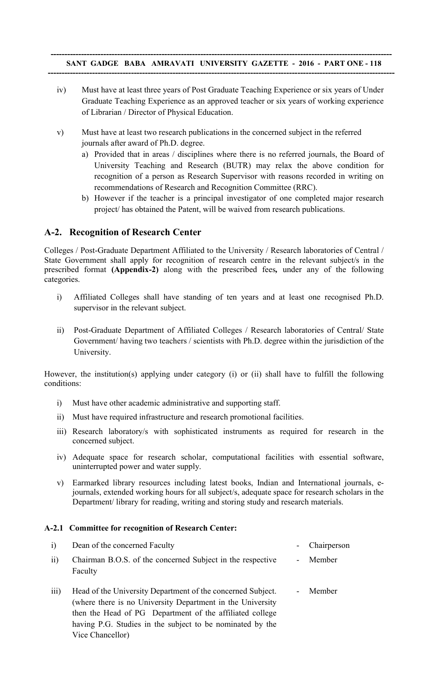- iv) Must have at least three years of Post Graduate Teaching Experience or six years of Under Graduate Teaching Experience as an approved teacher or six years of working experience of Librarian / Director of Physical Education.
- v) Must have at least two research publications in the concerned subject in the referred journals after award of Ph.D. degree.
	- a) Provided that in areas / disciplines where there is no referred journals, the Board of University Teaching and Research (BUTR) may relax the above condition for recognition of a person as Research Supervisor with reasons recorded in writing on recommendations of Research and Recognition Committee (RRC).
	- b) However if the teacher is a principal investigator of one completed major research project/ has obtained the Patent, will be waived from research publications.

#### A-2. Recognition of Research Center

Colleges / Post-Graduate Department Affiliated to the University / Research laboratories of Central / State Government shall apply for recognition of research centre in the relevant subject/s in the prescribed format (Appendix-2) along with the prescribed fees*,* under any of the following categories.

- i) Affiliated Colleges shall have standing of ten years and at least one recognised Ph.D. supervisor in the relevant subject.
- ii) Post-Graduate Department of Affiliated Colleges / Research laboratories of Central/ State Government/ having two teachers / scientists with Ph.D. degree within the jurisdiction of the University.

However, the institution(s) applying under category (i) or (ii) shall have to fulfill the following conditions:

- i) Must have other academic administrative and supporting staff.
- ii) Must have required infrastructure and research promotional facilities.
- iii) Research laboratory/s with sophisticated instruments as required for research in the concerned subject.
- iv) Adequate space for research scholar, computational facilities with essential software, uninterrupted power and water supply.
- v) Earmarked library resources including latest books, Indian and International journals, ejournals, extended working hours for all subject/s, adequate space for research scholars in the Department/ library for reading, writing and storing study and research materials.

#### A-2.1 Committee for recognition of Research Center:

- i) Dean of the concerned Faculty Chairperson ii) Chairman B.O.S. of the concerned Subject in the respective Faculty **Member**
- iii) Head of the University Department of the concerned Subject. (where there is no University Department in the University then the Head of PG Department of the affiliated college having P.G. Studies in the subject to be nominated by the Vice Chancellor) - Member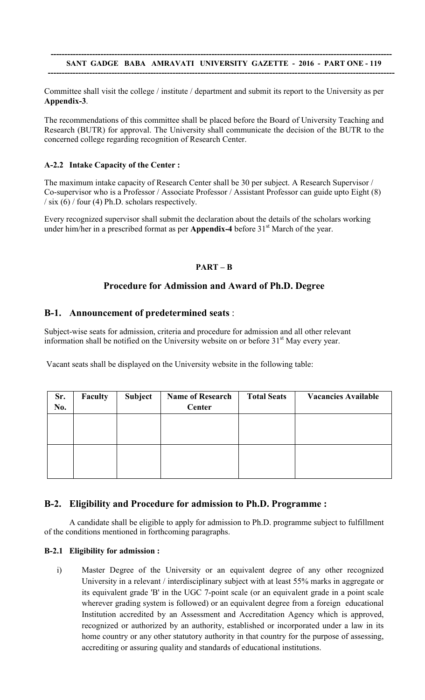#### --------------------------------------------------------------------------------------------------------------------------- SANT GADGE BABA AMRAVATI UNIVERSITY GAZETTE - 2016 - PART ONE - 119 -----------------------------------------------------------------------------------------------------------------------------

Committee shall visit the college / institute / department and submit its report to the University as per Appendix-3.

The recommendations of this committee shall be placed before the Board of University Teaching and Research (BUTR) for approval. The University shall communicate the decision of the BUTR to the concerned college regarding recognition of Research Center.

## A-2.2 Intake Capacity of the Center :

The maximum intake capacity of Research Center shall be 30 per subject. A Research Supervisor / Co-supervisor who is a Professor / Associate Professor / Assistant Professor can guide upto Eight (8)  $\frac{1}{\sin(6)}$  / four (4) Ph.D. scholars respectively.

Every recognized supervisor shall submit the declaration about the details of the scholars working under him/her in a prescribed format as per **Appendix-4** before  $31<sup>st</sup>$  March of the year.

## PART – B

## Procedure for Admission and Award of Ph.D. Degree

## B-1. Announcement of predetermined seats :

Subject-wise seats for admission, criteria and procedure for admission and all other relevant information shall be notified on the University website on or before  $31<sup>st</sup>$  May every year.

Vacant seats shall be displayed on the University website in the following table:

| Sr. | Faculty | Subject | <b>Name of Research</b> | <b>Total Seats</b> | <b>Vacancies Available</b> |
|-----|---------|---------|-------------------------|--------------------|----------------------------|
| No. |         |         | <b>Center</b>           |                    |                            |
|     |         |         |                         |                    |                            |
|     |         |         |                         |                    |                            |
|     |         |         |                         |                    |                            |
|     |         |         |                         |                    |                            |
|     |         |         |                         |                    |                            |
|     |         |         |                         |                    |                            |
|     |         |         |                         |                    |                            |
|     |         |         |                         |                    |                            |

## B-2. Eligibility and Procedure for admission to Ph.D. Programme :

A candidate shall be eligible to apply for admission to Ph.D. programme subject to fulfillment of the conditions mentioned in forthcoming paragraphs.

#### B-2.1 Eligibility for admission :

i) Master Degree of the University or an equivalent degree of any other recognized University in a relevant / interdisciplinary subject with at least 55% marks in aggregate or its equivalent grade 'B' in the UGC 7-point scale (or an equivalent grade in a point scale wherever grading system is followed) or an equivalent degree from a foreign educational Institution accredited by an Assessment and Accreditation Agency which is approved, recognized or authorized by an authority, established or incorporated under a law in its home country or any other statutory authority in that country for the purpose of assessing, accrediting or assuring quality and standards of educational institutions.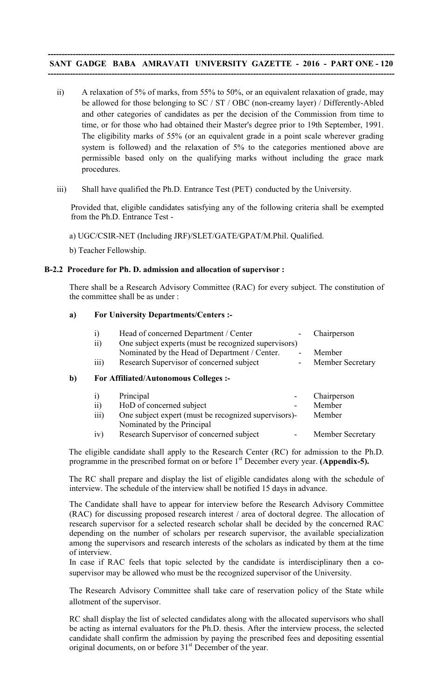#### ----------------------------------------------------------------------------------------------------------------------------- SANT GADGE BABA AMRAVATI UNIVERSITY GAZETTE - 2016 - PART ONE - 120 -----------------------------------------------------------------------------------------------------------------------------

- ii) A relaxation of 5% of marks, from 55% to 50%, or an equivalent relaxation of grade, may be allowed for those belonging to SC / ST / OBC (non-creamy layer) / Differently-Abled and other categories of candidates as per the decision of the Commission from time to time, or for those who had obtained their Master's degree prior to 19th September, 1991. The eligibility marks of 55% (or an equivalent grade in a point scale wherever grading system is followed) and the relaxation of 5% to the categories mentioned above are permissible based only on the qualifying marks without including the grace mark procedures.
- iii) Shall have qualified the Ph.D. Entrance Test (PET) conducted by the University.

Provided that, eligible candidates satisfying any of the following criteria shall be exempted from the Ph.D. Entrance Test -

a) UGC/CSIR-NET (Including JRF)/SLET/GATE/GPAT/M.Phil. Qualified.

b) Teacher Fellowship.

#### B-2.2 Procedure for Ph. D. admission and allocation of supervisor :

There shall be a Research Advisory Committee (RAC) for every subject. The constitution of the committee shall be as under :

#### a) For University Departments/Centers :-

|    | $\ddot{1}$        | Head of concerned Department / Center                | Chairperson      |
|----|-------------------|------------------------------------------------------|------------------|
|    | $\overline{ii}$   | One subject experts (must be recognized supervisors) |                  |
|    |                   | Nominated by the Head of Department / Center.        | Member           |
|    | iii)              | Research Supervisor of concerned subject             | Member Secretary |
| b) |                   | <b>For Affiliated/Autonomous Colleges :-</b>         |                  |
|    | $\left( i\right)$ | Principal                                            | Chairperson      |
|    | $\overline{ii}$   | HoD of concerned subject                             | Member           |
|    | iii)              | One subject expert (must be recognized supervisors)- | Member           |
|    |                   | Nominated by the Principal                           |                  |
|    | 1V                | Research Supervisor of concerned subject             | Member Secretary |

The eligible candidate shall apply to the Research Center (RC) for admission to the Ph.D. programme in the prescribed format on or before 1<sup>st</sup> December every year. (Appendix-5).

The RC shall prepare and display the list of eligible candidates along with the schedule of interview. The schedule of the interview shall be notified 15 days in advance.

The Candidate shall have to appear for interview before the Research Advisory Committee (RAC) for discussing proposed research interest / area of doctoral degree. The allocation of research supervisor for a selected research scholar shall be decided by the concerned RAC depending on the number of scholars per research supervisor, the available specialization among the supervisors and research interests of the scholars as indicated by them at the time of interview.

In case if RAC feels that topic selected by the candidate is interdisciplinary then a cosupervisor may be allowed who must be the recognized supervisor of the University.

The Research Advisory Committee shall take care of reservation policy of the State while allotment of the supervisor.

RC shall display the list of selected candidates along with the allocated supervisors who shall be acting as internal evaluators for the Ph.D. thesis. After the interview process, the selected candidate shall confirm the admission by paying the prescribed fees and depositing essential original documents, on or before 31<sup>st</sup> December of the year.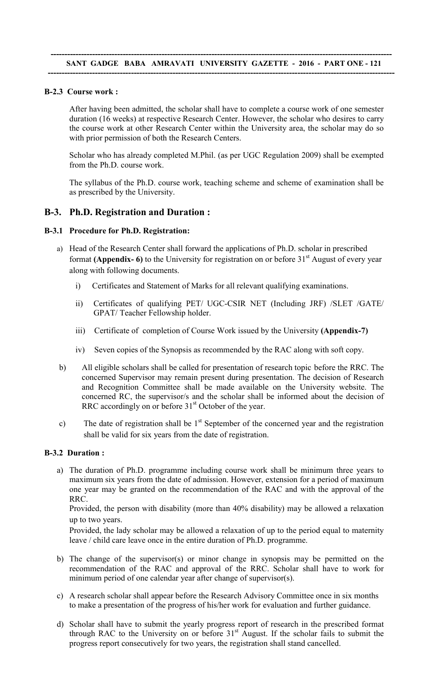#### B-2.3 Course work :

After having been admitted, the scholar shall have to complete a course work of one semester duration (16 weeks) at respective Research Center. However, the scholar who desires to carry the course work at other Research Center within the University area, the scholar may do so with prior permission of both the Research Centers.

Scholar who has already completed M.Phil. (as per UGC Regulation 2009) shall be exempted from the Ph.D. course work.

The syllabus of the Ph.D. course work, teaching scheme and scheme of examination shall be as prescribed by the University.

#### B-3. Ph.D. Registration and Duration :

#### B-3.1 Procedure for Ph.D. Registration:

- a) Head of the Research Center shall forward the applications of Ph.D. scholar in prescribed format (Appendix- 6) to the University for registration on or before  $31<sup>st</sup>$  August of every year along with following documents.
	- i) Certificates and Statement of Marks for all relevant qualifying examinations.
	- ii) Certificates of qualifying PET/ UGC-CSIR NET (Including JRF) /SLET /GATE/ GPAT/ Teacher Fellowship holder.
	- iii) Certificate of completion of Course Work issued by the University (Appendix-7)
	- iv) Seven copies of the Synopsis as recommended by the RAC along with soft copy.
- b) All eligible scholars shall be called for presentation of research topic before the RRC. The concerned Supervisor may remain present during presentation. The decision of Research and Recognition Committee shall be made available on the University website. The concerned RC, the supervisor/s and the scholar shall be informed about the decision of RRC accordingly on or before  $31<sup>st</sup>$  October of the year.
- c) The date of registration shall be  $1<sup>st</sup>$  September of the concerned year and the registration shall be valid for six years from the date of registration.

#### B-3.2 Duration :

a) The duration of Ph.D. programme including course work shall be minimum three years to maximum six years from the date of admission. However, extension for a period of maximum one year may be granted on the recommendation of the RAC and with the approval of the RRC.

Provided, the person with disability (more than 40% disability) may be allowed a relaxation up to two years.

Provided, the lady scholar may be allowed a relaxation of up to the period equal to maternity leave / child care leave once in the entire duration of Ph.D. programme.

- b) The change of the supervisor(s) or minor change in synopsis may be permitted on the recommendation of the RAC and approval of the RRC. Scholar shall have to work for minimum period of one calendar year after change of supervisor(s).
- c) A research scholar shall appear before the Research Advisory Committee once in six months to make a presentation of the progress of his/her work for evaluation and further guidance.
- d) Scholar shall have to submit the yearly progress report of research in the prescribed format through RAC to the University on or before  $31<sup>st</sup>$  August. If the scholar fails to submit the progress report consecutively for two years, the registration shall stand cancelled.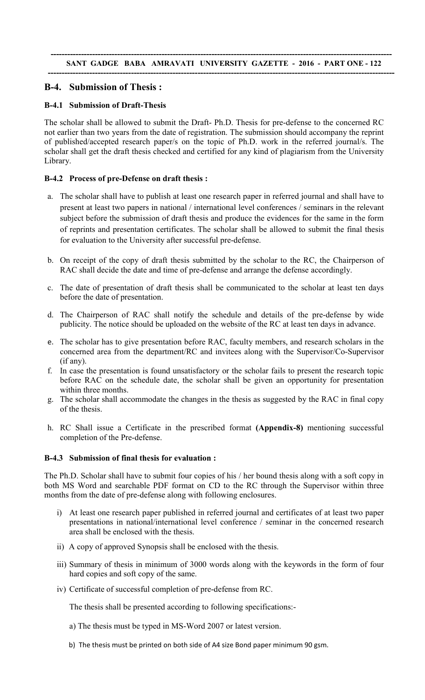## B-4. Submission of Thesis :

#### B-4.1 Submission of Draft-Thesis

The scholar shall be allowed to submit the Draft- Ph.D. Thesis for pre-defense to the concerned RC not earlier than two years from the date of registration. The submission should accompany the reprint of published/accepted research paper/s on the topic of Ph.D. work in the referred journal/s. The scholar shall get the draft thesis checked and certified for any kind of plagiarism from the University Library.

## B-4.2 Process of pre-Defense on draft thesis :

- a. The scholar shall have to publish at least one research paper in referred journal and shall have to present at least two papers in national / international level conferences / seminars in the relevant subject before the submission of draft thesis and produce the evidences for the same in the form of reprints and presentation certificates. The scholar shall be allowed to submit the final thesis for evaluation to the University after successful pre-defense.
- b. On receipt of the copy of draft thesis submitted by the scholar to the RC, the Chairperson of RAC shall decide the date and time of pre-defense and arrange the defense accordingly.
- c. The date of presentation of draft thesis shall be communicated to the scholar at least ten days before the date of presentation.
- d. The Chairperson of RAC shall notify the schedule and details of the pre-defense by wide publicity. The notice should be uploaded on the website of the RC at least ten days in advance.
- e. The scholar has to give presentation before RAC, faculty members, and research scholars in the concerned area from the department/RC and invitees along with the Supervisor/Co-Supervisor (if any).
- f. In case the presentation is found unsatisfactory or the scholar fails to present the research topic before RAC on the schedule date, the scholar shall be given an opportunity for presentation within three months.
- g. The scholar shall accommodate the changes in the thesis as suggested by the RAC in final copy of the thesis.
- h. RC Shall issue a Certificate in the prescribed format (Appendix-8) mentioning successful completion of the Pre-defense.

#### B-4.3 Submission of final thesis for evaluation :

The Ph.D. Scholar shall have to submit four copies of his / her bound thesis along with a soft copy in both MS Word and searchable PDF format on CD to the RC through the Supervisor within three months from the date of pre-defense along with following enclosures.

- i) At least one research paper published in referred journal and certificates of at least two paper presentations in national/international level conference / seminar in the concerned research area shall be enclosed with the thesis.
- ii) A copy of approved Synopsis shall be enclosed with the thesis.
- iii) Summary of thesis in minimum of 3000 words along with the keywords in the form of four hard copies and soft copy of the same.
- iv) Certificate of successful completion of pre-defense from RC.

The thesis shall be presented according to following specifications:-

- a) The thesis must be typed in MS-Word 2007 or latest version.
- b) The thesis must be printed on both side of A4 size Bond paper minimum 90 gsm.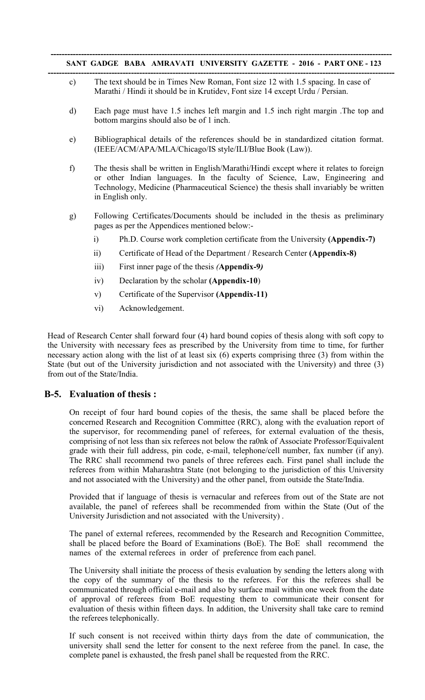- c) The text should be in Times New Roman, Font size 12 with 1.5 spacing. In case of Marathi / Hindi it should be in Krutidev, Font size 14 except Urdu / Persian.
- d) Each page must have 1.5 inches left margin and 1.5 inch right margin .The top and bottom margins should also be of 1 inch.
- e) Bibliographical details of the references should be in standardized citation format. (IEEE/ACM/APA/MLA/Chicago/IS style/ILI/Blue Book (Law)).
- f) The thesis shall be written in English/Marathi/Hindi except where it relates to foreign or other Indian languages. In the faculty of Science, Law, Engineering and Technology, Medicine (Pharmaceutical Science) the thesis shall invariably be written in English only.
- g) Following Certificates/Documents should be included in the thesis as preliminary pages as per the Appendices mentioned below:
	- i) Ph.D. Course work completion certificate from the University (Appendix-7)
	- ii) Certificate of Head of the Department / Research Center (Appendix-8)
	- iii) First inner page of the thesis *(*Appendix-9*)*
	- iv) Declaration by the scholar (Appendix-10)
	- v) Certificate of the Supervisor (Appendix-11)
	- vi) Acknowledgement.

Head of Research Center shall forward four (4) hard bound copies of thesis along with soft copy to the University with necessary fees as prescribed by the University from time to time, for further necessary action along with the list of at least six (6) experts comprising three (3) from within the State (but out of the University jurisdiction and not associated with the University) and three (3) from out of the State/India.

#### B-5. Evaluation of thesis :

On receipt of four hard bound copies of the thesis, the same shall be placed before the concerned Research and Recognition Committee (RRC), along with the evaluation report of the supervisor, for recommending panel of referees, for external evaluation of the thesis, comprising of not less than six referees not below the ra0nk of Associate Professor/Equivalent grade with their full address, pin code, e-mail, telephone/cell number, fax number (if any). The RRC shall recommend two panels of three referees each. First panel shall include the referees from within Maharashtra State (not belonging to the jurisdiction of this University and not associated with the University) and the other panel, from outside the State/India.

Provided that if language of thesis is vernacular and referees from out of the State are not available, the panel of referees shall be recommended from within the State (Out of the University Jurisdiction and not associated with the University) .

The panel of external referees, recommended by the Research and Recognition Committee, shall be placed before the Board of Examinations (BoE). The BoE shall recommend the names of the external referees in order of preference from each panel.

The University shall initiate the process of thesis evaluation by sending the letters along with the copy of the summary of the thesis to the referees. For this the referees shall be communicated through official e-mail and also by surface mail within one week from the date of approval of referees from BoE requesting them to communicate their consent for evaluation of thesis within fifteen days. In addition, the University shall take care to remind the referees telephonically.

If such consent is not received within thirty days from the date of communication, the university shall send the letter for consent to the next referee from the panel. In case, the complete panel is exhausted, the fresh panel shall be requested from the RRC.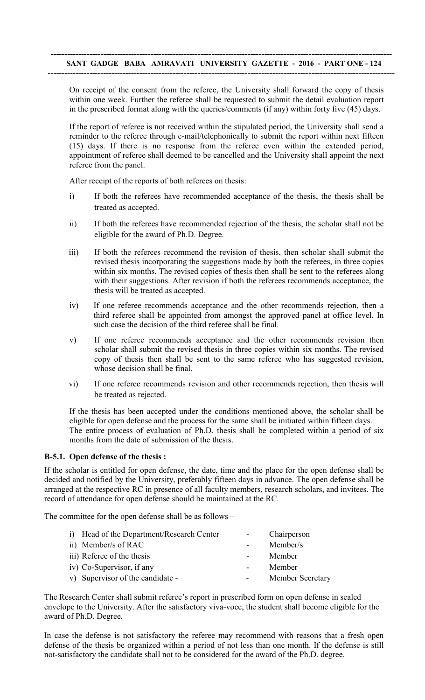On receipt of the consent from the referee, the University shall forward the copy of thesis within one week. Further the referee shall be requested to submit the detail evaluation report in the prescribed format along with the queries/comments (if any) within forty five (45) days.

If the report of referee is not received within the stipulated period, the University shall send a reminder to the referee through e-mail/telephonically to submit the report within next fifteen (15) days. If there is no response from the referee even within the extended period, appointment of referee shall deemed to be cancelled and the University shall appoint the next referee from the panel.

After receipt of the reports of both referees on thesis:

- i) If both the referees have recommended acceptance of the thesis, the thesis shall be treated as accepted.
- ii) If both the referees have recommended rejection of the thesis, the scholar shall not be eligible for the award of Ph.D. Degree.
- iii) If both the referees recommend the revision of thesis, then scholar shall submit the revised thesis incorporating the suggestions made by both the referees, in three copies within six months. The revised copies of thesis then shall be sent to the referees along with their suggestions. After revision if both the referees recommends acceptance, the thesis will be treated as accepted.
- iv) If one referee recommends acceptance and the other recommends rejection, then a third referee shall be appointed from amongst the approved panel at office level. In such case the decision of the third referee shall be final.
- v) If one referee recommends acceptance and the other recommends revision then scholar shall submit the revised thesis in three copies within six months. The revised copy of thesis then shall be sent to the same referee who has suggested revision, whose decision shall be final.
- vi) If one referee recommends revision and other recommends rejection, then thesis will be treated as rejected.

If the thesis has been accepted under the conditions mentioned above, the scholar shall be eligible for open defense and the process for the same shall be initiated within fifteen days. The entire process of evaluation of Ph.D. thesis shall be completed within a period of six months from the date of submission of the thesis.

#### B-5.1. Open defense of the thesis :

If the scholar is entitled for open defense, the date, time and the place for the open defense shall be decided and notified by the University, preferably fifteen days in advance. The open defense shall be arranged at the respective RC in presence of all faculty members, research scholars, and invitees. The record of attendance for open defense should be maintained at the RC.

The committee for the open defense shall be as follows –

| i) Head of the Department/Research Center | Chairperson      |
|-------------------------------------------|------------------|
| ii) Member/s of RAC                       | Member/s         |
| iii) Referee of the thesis                | Member           |
| iv) Co-Supervisor, if any                 | Member           |
| v) Supervisor of the candidate -          | Member Secretary |

The Research Center shall submit referee's report in prescribed form on open defense in sealed envelope to the University. After the satisfactory viva*-*voce, the student shall become eligible for the award of Ph.D. Degree.

In case the defense is not satisfactory the referee may recommend with reasons that a fresh open defense of the thesis be organized within a period of not less than one month. If the defense is still not-satisfactory the candidate shall not to be considered for the award of the Ph.D. degree.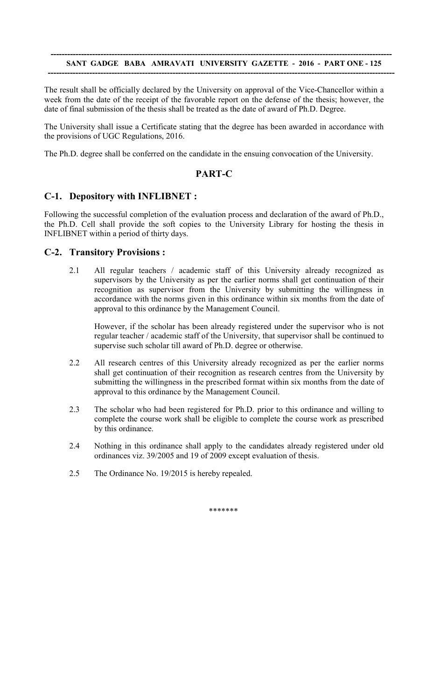#### --------------------------------------------------------------------------------------------------------------------------- SANT GADGE BABA AMRAVATI UNIVERSITY GAZETTE - 2016 - PART ONE - 125 -----------------------------------------------------------------------------------------------------------------------------

The result shall be officially declared by the University on approval of the Vice-Chancellor within a week from the date of the receipt of the favorable report on the defense of the thesis; however, the date of final submission of the thesis shall be treated as the date of award of Ph.D. Degree.

The University shall issue a Certificate stating that the degree has been awarded in accordance with the provisions of UGC Regulations, 2016.

The Ph.D. degree shall be conferred on the candidate in the ensuing convocation of the University.

## PART-C

## C-1. Depository with INFLIBNET :

Following the successful completion of the evaluation process and declaration of the award of Ph.D., the Ph.D. Cell shall provide the soft copies to the University Library for hosting the thesis in INFLIBNET within a period of thirty days.

## C-2. Transitory Provisions :

2.1 All regular teachers / academic staff of this University already recognized as supervisors by the University as per the earlier norms shall get continuation of their recognition as supervisor from the University by submitting the willingness in accordance with the norms given in this ordinance within six months from the date of approval to this ordinance by the Management Council.

However, if the scholar has been already registered under the supervisor who is not regular teacher / academic staff of the University, that supervisor shall be continued to supervise such scholar till award of Ph.D. degree or otherwise.

- 2.2 All research centres of this University already recognized as per the earlier norms shall get continuation of their recognition as research centres from the University by submitting the willingness in the prescribed format within six months from the date of approval to this ordinance by the Management Council.
- 2.3 The scholar who had been registered for Ph.D. prior to this ordinance and willing to complete the course work shall be eligible to complete the course work as prescribed by this ordinance.
- 2.4 Nothing in this ordinance shall apply to the candidates already registered under old ordinances viz. 39/2005 and 19 of 2009 except evaluation of thesis.
- 2.5 The Ordinance No. 19/2015 is hereby repealed.

\*\*\*\*\*\*\*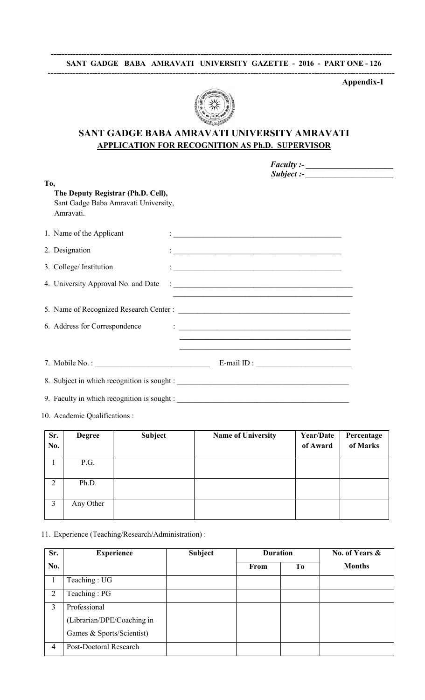

# SANT GADGE BABA AMRAVATI UNIVERSITY AMRAVATI APPLICATION FOR RECOGNITION AS Ph.D. SUPERVISOR

|     |                                                                                         | Subject:                                                                                                                                                                                                                                                                                                                                                      |  |
|-----|-----------------------------------------------------------------------------------------|---------------------------------------------------------------------------------------------------------------------------------------------------------------------------------------------------------------------------------------------------------------------------------------------------------------------------------------------------------------|--|
| To, | The Deputy Registrar (Ph.D. Cell),<br>Sant Gadge Baba Amravati University,<br>Amravati. |                                                                                                                                                                                                                                                                                                                                                               |  |
|     | 1. Name of the Applicant                                                                | $\mathcal{L}_{\mathcal{A}}$ and the set of the set of the set of the set of the set of the set of the set of the set of the set of the set of the set of the set of the set of the set of the set of the set of the set of the set of the                                                                                                                     |  |
|     | 2. Designation                                                                          |                                                                                                                                                                                                                                                                                                                                                               |  |
|     | 3. College/ Institution                                                                 | <u> Alexandria de la contrada de la contrada de la contrada de la contrada de la contrada de la contrada de la c</u>                                                                                                                                                                                                                                          |  |
|     | 4. University Approval No. and Date                                                     |                                                                                                                                                                                                                                                                                                                                                               |  |
|     |                                                                                         |                                                                                                                                                                                                                                                                                                                                                               |  |
|     | 6. Address for Correspondence                                                           | $\ddot{\cdot}$ . The contract of the contract of the contract of the contract of the contract of the contract of the contract of the contract of the contract of the contract of the contract of the contract of the contract of th<br><u> 1989 - Johann John Stoff, deutscher Stoffen und der Stoffen und der Stoffen und der Stoffen und der Stoffen un</u> |  |
|     |                                                                                         | E-mail ID : $\qquad \qquad$                                                                                                                                                                                                                                                                                                                                   |  |
|     |                                                                                         |                                                                                                                                                                                                                                                                                                                                                               |  |
|     |                                                                                         |                                                                                                                                                                                                                                                                                                                                                               |  |

10. Academic Qualifications :

| Sr. | <b>Degree</b> | <b>Subject</b> | <b>Name of University</b> | <b>Year/Date</b> | Percentage |
|-----|---------------|----------------|---------------------------|------------------|------------|
| No. |               |                |                           | of Award         | of Marks   |
|     |               |                |                           |                  |            |
|     | P.G.          |                |                           |                  |            |
| 2   | Ph.D.         |                |                           |                  |            |
| 3   | Any Other     |                |                           |                  |            |

## 11. Experience (Teaching/Research/Administration) :

| Sr.            | <b>Experience</b>          | <b>Subject</b> | <b>Duration</b> |                | No. of Years & |
|----------------|----------------------------|----------------|-----------------|----------------|----------------|
| No.            |                            |                | From            | T <sub>0</sub> | <b>Months</b>  |
|                | Teaching: UG               |                |                 |                |                |
| $\overline{2}$ | Teaching: PG               |                |                 |                |                |
| 3              | Professional               |                |                 |                |                |
|                | (Librarian/DPE/Coaching in |                |                 |                |                |
|                | Games & Sports/Scientist)  |                |                 |                |                |
| 4              | Post-Doctoral Research     |                |                 |                |                |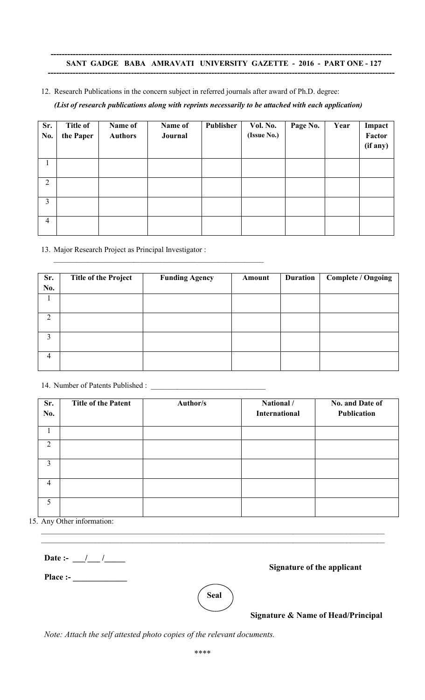#### --------------------------------------------------------------------------------------------------------------------------- SANT GADGE BABA AMRAVATI UNIVERSITY GAZETTE - 2016 - PART ONE - 127 -----------------------------------------------------------------------------------------------------------------------------

12. Research Publications in the concern subject in referred journals after award of Ph.D. degree:

*(List of research publications along with reprints necessarily to be attached with each application)* 

| Sr.<br>No.     | <b>Title of</b><br>the Paper | Name of<br><b>Authors</b> | Name of<br>Journal | Publisher | Vol. No.<br>(Issue No.) | Page No. | Year | Impact<br>Factor<br>(if any) |
|----------------|------------------------------|---------------------------|--------------------|-----------|-------------------------|----------|------|------------------------------|
|                |                              |                           |                    |           |                         |          |      |                              |
| $\overline{2}$ |                              |                           |                    |           |                         |          |      |                              |
| $\overline{3}$ |                              |                           |                    |           |                         |          |      |                              |
| $\overline{4}$ |                              |                           |                    |           |                         |          |      |                              |

13. Major Research Project as Principal Investigator :

\_\_\_\_\_\_\_\_\_\_\_\_\_\_\_\_\_\_\_\_\_\_\_\_\_\_\_\_\_\_\_\_\_\_\_\_\_\_\_\_\_\_\_\_\_\_\_\_\_\_\_\_\_\_\_

| Sr.            | <b>Title of the Project</b> | <b>Funding Agency</b> | Amount | <b>Duration</b> | <b>Complete / Ongoing</b> |
|----------------|-----------------------------|-----------------------|--------|-----------------|---------------------------|
| No.            |                             |                       |        |                 |                           |
|                |                             |                       |        |                 |                           |
|                |                             |                       |        |                 |                           |
| $\overline{2}$ |                             |                       |        |                 |                           |
|                |                             |                       |        |                 |                           |
| 3              |                             |                       |        |                 |                           |
|                |                             |                       |        |                 |                           |
| $\overline{4}$ |                             |                       |        |                 |                           |
|                |                             |                       |        |                 |                           |

14. Number of Patents Published : \_\_\_\_\_\_\_\_\_\_\_\_\_\_\_\_\_\_\_\_\_\_\_\_\_\_\_\_\_\_

| Sr.<br>No.     | <b>Title of the Patent</b> | Author/s | National /<br><b>International</b> | No. and Date of<br>Publication |
|----------------|----------------------------|----------|------------------------------------|--------------------------------|
|                |                            |          |                                    |                                |
| 2              |                            |          |                                    |                                |
| $\overline{3}$ |                            |          |                                    |                                |
| $\overline{4}$ |                            |          |                                    |                                |
| 5              |                            |          |                                    |                                |

15. Any Other information:  $\_$ 

Date :-  $\frac{1}{\sqrt{2}}$  /

Place :- \_\_\_\_\_\_\_\_\_\_\_\_\_

Signature of the applicant



 $\_$  , and the contribution of the contribution of the contribution of the contribution of  $\mathcal{L}_\text{max}$ 

Signature & Name of Head/Principal

*Note: Attach the self attested photo copies of the relevant documents.*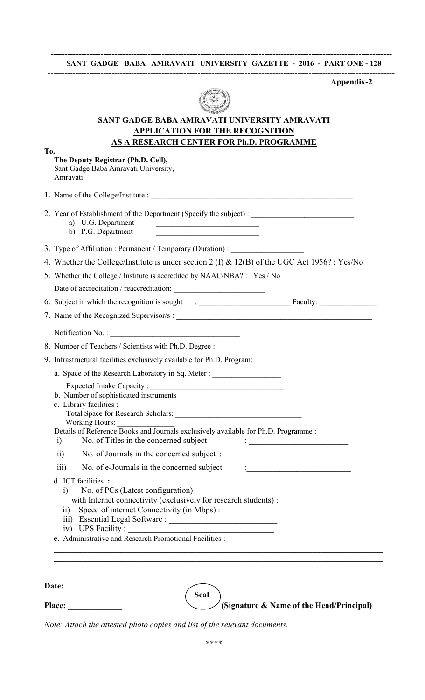#### --------------------------------------------------------------------------------------------------------------------------- SANT GADGE BABA AMRAVATI UNIVERSITY GAZETTE - 2016 - PART ONE - 128 -----------------------------------------------------------------------------------------------------------------------------

Appendix-2



# SANT GADGE BABA AMRAVATI UNIVERSITY AMRAVATI APPLICATION FOR THE RECOGNITION

|     | <u>AS A RESEARCH CENTER FOR Ph.D. PROGRAMME</u>                                                                                                                                                                                                                                                                                                  |
|-----|--------------------------------------------------------------------------------------------------------------------------------------------------------------------------------------------------------------------------------------------------------------------------------------------------------------------------------------------------|
| To, | The Deputy Registrar (Ph.D. Cell),<br>Sant Gadge Baba Amravati University,<br>Amravati.                                                                                                                                                                                                                                                          |
|     |                                                                                                                                                                                                                                                                                                                                                  |
|     | a) U.G. Department<br>$\frac{1}{2}$ . The contract of the contract of the contract of the contract of the contract of the contract of the contract of the contract of the contract of the contract of the contract of the contract of the contract of t<br>b) P.G. Department<br>$\ddot{\cdot}$ . The contract of the contract of $\ddot{\cdot}$ |
|     | 3. Type of Affiliation : Permanent / Temporary (Duration) : ____________________                                                                                                                                                                                                                                                                 |
|     | 4. Whether the College/Institute is under section 2 (f) & 12(B) of the UGC Act 1956? : Yes/No                                                                                                                                                                                                                                                    |
|     | 5. Whether the College / Institute is accredited by NAAC/NBA?: Yes / No                                                                                                                                                                                                                                                                          |
|     |                                                                                                                                                                                                                                                                                                                                                  |
|     |                                                                                                                                                                                                                                                                                                                                                  |
|     | 7. Name of the Recognized Supervisor/s:                                                                                                                                                                                                                                                                                                          |
|     |                                                                                                                                                                                                                                                                                                                                                  |
|     | 8. Number of Teachers / Scientists with Ph.D. Degree :                                                                                                                                                                                                                                                                                           |
|     | 9. Infrastructural facilities exclusively available for Ph.D. Program:                                                                                                                                                                                                                                                                           |
|     | a. Space of the Research Laboratory in Sq. Meter :                                                                                                                                                                                                                                                                                               |
|     |                                                                                                                                                                                                                                                                                                                                                  |
|     | b. Number of sophisticated instruments<br>c. Library facilities :                                                                                                                                                                                                                                                                                |
|     |                                                                                                                                                                                                                                                                                                                                                  |
|     | Working Hours:<br>Details of Reference Books and Journals exclusively available for Ph.D. Programme :<br>No. of Titles in the concerned subject<br>i)<br><u> 1980 - Johann Barbara, martin a</u>                                                                                                                                                 |
|     | No. of Journals in the concerned subject:<br>$\overline{ii}$                                                                                                                                                                                                                                                                                     |
|     | No. of e-Journals in the concerned subject<br>$\overline{\text{iii}}$<br><u> 1989 - Johann John Stoff, deutscher Stoffen und der Stoffen und der Stoffen und der Stoffen und der Stoffen un</u>                                                                                                                                                  |
|     | d. ICT facilities :<br>No. of PCs (Latest configuration)<br>$\overline{1}$<br>with Internet connectivity (exclusively for research students) : _______________<br>Speed of internet Connectivity (in Mbps) : ____________<br>$\rm ii)$<br>iv) UPS Facility:                                                                                      |

| Date:         |             |                                                      |
|---------------|-------------|------------------------------------------------------|
|               | <b>Seal</b> |                                                      |
| <b>Place:</b> |             | $\diagdown$ (Signature & Name of the Head/Principal) |

*Note: Attach the attested photo copies and list of the relevant documents.*<br>\*\*\*\*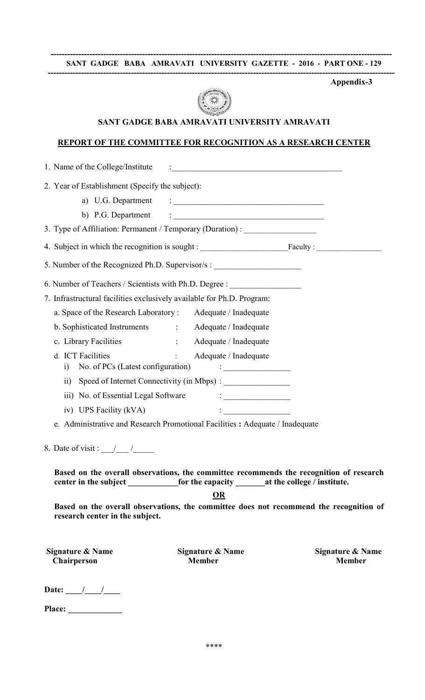#### --------------------------------------------------------------------------------------------------------------------------- SANT GADGE BABA AMRAVATI UNIVERSITY GAZETTE - 2016 - PART ONE - 129 -----------------------------------------------------------------------------------------------------------------------------

Appendix-3



## SANT GADGE BABA AMRAVATI UNIVERSITY AMRAVATI

#### REPORT OF THE COMMITTEE FOR RECOGNITION AS A RESEARCH CENTER

1. Name of the College/Institute : 2. Year of Establishment (Specify the subject): a) U.G. Department : \_\_\_\_\_\_\_\_\_\_\_\_\_\_\_\_\_\_\_\_\_\_\_\_\_\_\_\_\_\_\_\_\_\_\_\_ b) P.G. Department  $\qquad \qquad : \qquad$ 3. Type of Affiliation: Permanent / Temporary (Duration) : \_\_\_\_\_\_\_\_\_\_\_\_\_\_\_\_\_\_\_\_\_ 4. Subject in which the recognition is sought : \_\_\_\_\_\_\_\_\_\_\_\_\_\_\_\_\_\_\_\_\_\_\_Faculty : \_\_\_\_\_\_\_\_\_\_\_\_\_\_\_\_\_ 5. Number of the Recognized Ph.D. Supervisor/s : 6. Number of Teachers / Scientists with Ph.D. Degree : 7. Infrastructural facilities exclusively available for Ph.D. Program: a. Space of the Research Laboratory : Adequate / Inadequate b. Sophisticated Instruments : Adequate / Inadequate c. Library Facilities : Adequate / Inadequate d. ICT Facilities : Adequate / Inadequate i) No. of PCs (Latest configuration) : \_\_\_\_\_\_\_\_\_\_\_\_\_\_\_\_ ii) Speed of Internet Connectivity (in Mbps) : iii) No. of Essential Legal Software : \_\_\_\_\_\_\_\_\_\_\_\_\_\_\_\_ iv) UPS Facility (kVA) : e. Administrative and Research Promotional Facilities : Adequate / Inadequate 8. Date of visit :  $\angle$ Based on the overall observations, the committee recommends the recognition of research center in the subject \_\_\_\_\_\_\_\_\_\_\_for the capacity \_\_\_\_\_\_\_at the college / institute. OR Based on the overall observations, the committee does not recommend the recognition of research center in the subject. Signature & Name Signature & Name Signature & Name Chairperson Member Member

| <b>Date:</b> |  |  |
|--------------|--|--|
|              |  |  |

Place: \_\_\_\_\_\_\_\_\_\_\_\_\_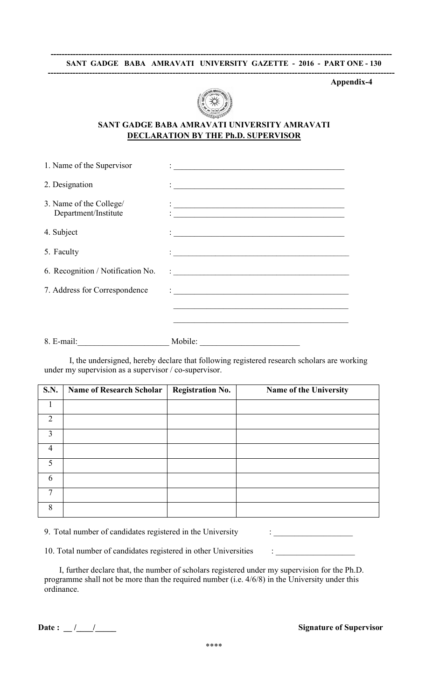

## SANT GADGE BABA AMRAVATI UNIVERSITY AMRAVATI DECLARATION BY THE Ph.D. SUPERVISOR

| 1. Name of the Supervisor                       | <u> 1980 - John Stein, Amerikaansk politiker (</u>                                                                    |
|-------------------------------------------------|-----------------------------------------------------------------------------------------------------------------------|
| 2. Designation                                  | <u> 1980 - Antonio Alemania, prima postala de la provincia de la provincia de la provincia de la provincia de la</u>  |
| 3. Name of the College/<br>Department/Institute | <u> 1989 - Jan James James, amerikansk politik (d. 1989)</u>                                                          |
| 4. Subject                                      |                                                                                                                       |
| 5. Faculty                                      |                                                                                                                       |
| 6. Recognition / Notification No.               |                                                                                                                       |
| 7. Address for Correspondence                   | <u> 1980 - Johann Barnett, fransk konge og det ble til de forskelle og det ble til de forskelle og det ble til de</u> |
|                                                 | <u> 1990 - Johann John Stone, market fan de Fryske kunstne fan de fan de fan de fan de fan de fan de fan de fan d</u> |
|                                                 |                                                                                                                       |
|                                                 |                                                                                                                       |
| $8.$ E-mail:                                    | Mobile:                                                                                                               |

I, the undersigned, hereby declare that following registered research scholars are working under my supervision as a supervisor / co-supervisor.

| <b>S.N.</b>    | <b>Name of Research Scholar</b> | <b>Registration No.</b> | Name of the University |
|----------------|---------------------------------|-------------------------|------------------------|
|                |                                 |                         |                        |
| $\overline{2}$ |                                 |                         |                        |
| 3              |                                 |                         |                        |
| $\overline{4}$ |                                 |                         |                        |
| 5              |                                 |                         |                        |
| 6              |                                 |                         |                        |
| 7              |                                 |                         |                        |
| 8              |                                 |                         |                        |

|  |  | 9. Total number of candidates registered in the University |  |
|--|--|------------------------------------------------------------|--|
|  |  |                                                            |  |

10. Total number of candidates registered in other Universities : \_\_\_\_\_\_\_\_\_\_\_\_\_\_

| I, further declare that, the number of scholars registered under my supervision for the Ph.D.     |
|---------------------------------------------------------------------------------------------------|
| programme shall not be more than the required number (i.e. $4/6/8$ ) in the University under this |
| ordinance.                                                                                        |

 $\mathbf{P}_{\text{max}}$  . Total number of candidates registered in the University  $\mathbf{P}_{\text{max}}$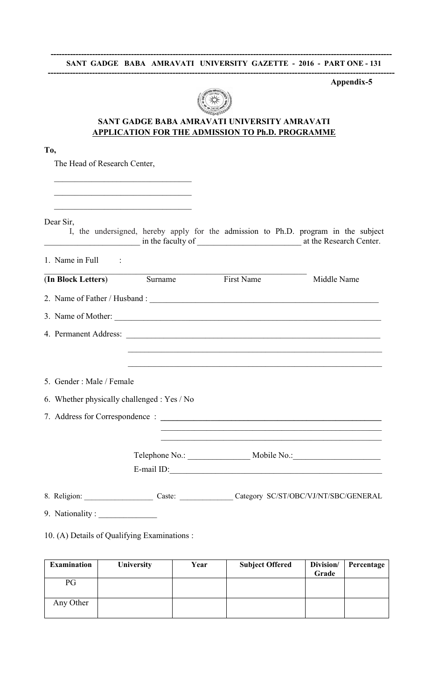

# SANT GADGE BABA AMRAVATI UNIVERSITY AMRAVATI APPLICATION FOR THE ADMISSION TO Ph.D. PROGRAMME

| I<br>×<br>۰. | ł |
|--------------|---|

The Head of Research Center,

| Dear Sir,                                   |                       | I, the undersigned, hereby apply for the admission to Ph.D. program in the subject |
|---------------------------------------------|-----------------------|------------------------------------------------------------------------------------|
| 1. Name in Full $\qquad$ :                  |                       |                                                                                    |
| (In Block Letters) Surname                  | <b>First Name</b>     | Middle Name                                                                        |
|                                             |                       |                                                                                    |
|                                             | 3. Name of Mother:    |                                                                                    |
|                                             | 4. Permanent Address: |                                                                                    |
|                                             |                       |                                                                                    |
| 5. Gender: Male / Female                    |                       |                                                                                    |
| 6. Whether physically challenged : Yes / No |                       |                                                                                    |
|                                             |                       |                                                                                    |
|                                             |                       |                                                                                    |
|                                             |                       |                                                                                    |
|                                             | E-mail ID:            |                                                                                    |
|                                             |                       | 8. Religion: Caste: Caste: Caste: Category SC/ST/OBC/VJ/NT/SBC/GENERAL             |
| 9. Nationality:                             |                       |                                                                                    |

## 10. (A) Details of Qualifying Examinations :

| <b>Examination</b> | <b>University</b> | Year | <b>Subject Offered</b> | Division/<br>Grade | Percentage |
|--------------------|-------------------|------|------------------------|--------------------|------------|
| PG                 |                   |      |                        |                    |            |
| Any Other          |                   |      |                        |                    |            |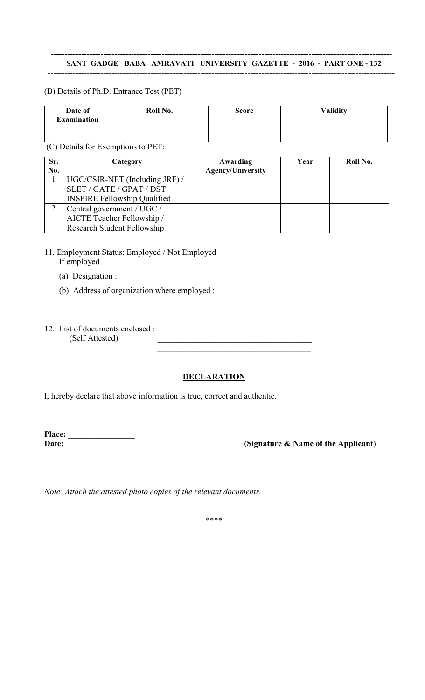#### --------------------------------------------------------------------------------------------------------------------------- SANT GADGE BABA AMRAVATI UNIVERSITY GAZETTE - 2016 - PART ONE - 132 -----------------------------------------------------------------------------------------------------------------------------

## (B) Details of Ph.D. Entrance Test (PET)

| Date of<br><b>Examination</b> | Roll No. | <b>Score</b> | <b>Validity</b> |
|-------------------------------|----------|--------------|-----------------|
|                               |          |              |                 |

(C) Details for Exemptions to PET:

| Sr.<br>No. | Category                            | Awarding<br><b>Agency/University</b> | Year | Roll No. |
|------------|-------------------------------------|--------------------------------------|------|----------|
|            | UGC/CSIR-NET (Including JRF) /      |                                      |      |          |
|            | SLET / GATE / GPAT / DST            |                                      |      |          |
|            | <b>INSPIRE Fellowship Qualified</b> |                                      |      |          |
|            | Central government / UGC /          |                                      |      |          |
|            | AICTE Teacher Fellowship /          |                                      |      |          |
|            | Research Student Fellowship         |                                      |      |          |

## 11. Employment Status: Employed / Not Employed If employed

- (a) Designation :  $\_\_$
- (b) Address of organization where employed :
- 12. List of documents enclosed : \_\_\_\_\_\_\_\_\_\_\_\_\_\_\_\_\_\_\_\_\_\_\_\_\_\_\_\_\_\_\_\_\_\_\_\_\_ (Self Attested) \_\_\_\_\_\_\_\_\_\_\_\_\_\_\_\_\_\_\_\_\_\_\_\_\_\_\_\_\_\_\_\_\_\_\_\_\_

# **DECLARATION**

\_\_\_\_\_\_\_\_\_\_\_\_\_\_\_\_\_\_\_\_\_\_\_\_\_\_\_\_\_\_\_\_\_\_\_\_\_\_\_\_\_\_\_\_\_\_\_\_\_\_\_\_\_\_\_\_\_\_\_\_  $\mathcal{L}_\text{max}$  , and the contribution of the contribution of the contribution of the contribution of the contribution of the contribution of the contribution of the contribution of the contribution of the contribution of t

 $\mathcal{L}_\text{max}$  and  $\mathcal{L}_\text{max}$  and  $\mathcal{L}_\text{max}$  and  $\mathcal{L}_\text{max}$  and  $\mathcal{L}_\text{max}$ 

I, hereby declare that above information is true, correct and authentic.

Place: \_\_\_\_\_\_\_\_\_\_\_\_\_\_\_\_

(Signature & Name of the Applicant)

*Note: Attach the attested photo copies of the relevant documents.*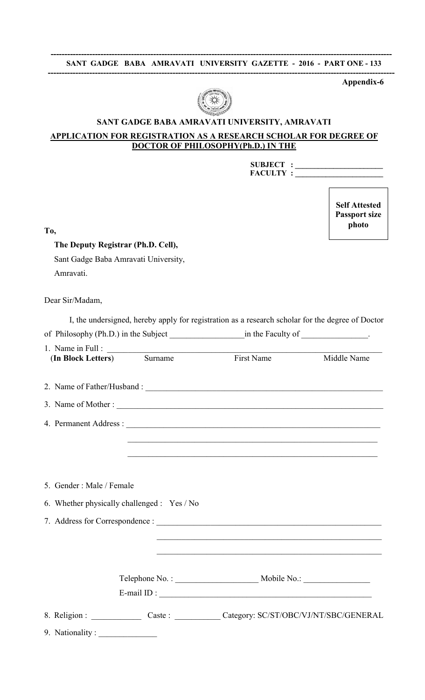

# SANT GADGE BABA AMRAVATI UNIVERSITY, AMRAVATI

## APPLICATION FOR REGISTRATION AS A RESEARCH SCHOLAR FOR DEGREE OF DOCTOR OF PHILOSOPHY(Ph.D.) IN THE

| <b>SUBJECT:</b> |  |
|-----------------|--|
| <b>FACULTY:</b> |  |

Self Attested Passport size photo

To,

# The Deputy Registrar (Ph.D. Cell),

Sant Gadge Baba Amravati University, Amravati.

Dear Sir/Madam,

| 1. Name in Full :<br>(In Block Letters) Surname | First Name                                                                                                             | Middle Name |
|-------------------------------------------------|------------------------------------------------------------------------------------------------------------------------|-------------|
|                                                 |                                                                                                                        |             |
|                                                 |                                                                                                                        |             |
|                                                 |                                                                                                                        |             |
|                                                 |                                                                                                                        |             |
|                                                 | <u> 1989 - Johann John Stone, Amerikaansk politiker († 1908)</u>                                                       |             |
| 5. Gender: Male / Female                        |                                                                                                                        |             |
|                                                 |                                                                                                                        |             |
| 6. Whether physically challenged : Yes / No     |                                                                                                                        |             |
|                                                 |                                                                                                                        |             |
|                                                 | <u> 1989 - Johann Barbara, marka a shekara tsa na shekara tsa na shekara tsa 1989 - An tsa na shekara tsa na sheka</u> |             |
|                                                 |                                                                                                                        |             |
|                                                 |                                                                                                                        |             |
|                                                 | E-mail ID : $\qquad \qquad$                                                                                            |             |
|                                                 | 8. Religion : _______________ Caste : _____________ Category: SC/ST/OBC/VJ/NT/SBC/GENERAL                              |             |
| 9. Nationality:                                 |                                                                                                                        |             |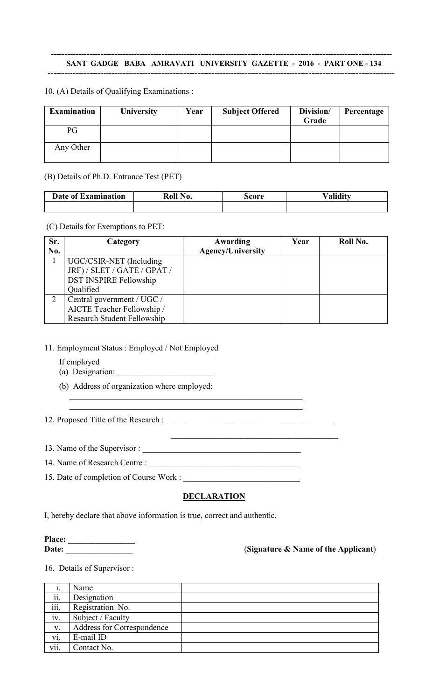#### --------------------------------------------------------------------------------------------------------------------------- SANT GADGE BABA AMRAVATI UNIVERSITY GAZETTE - 2016 - PART ONE - 134 -----------------------------------------------------------------------------------------------------------------------------

## 10. (A) Details of Qualifying Examinations :

| <b>Examination</b> | <b>University</b> | Year | <b>Subject Offered</b> | Division/<br>Grade | Percentage |
|--------------------|-------------------|------|------------------------|--------------------|------------|
| PG                 |                   |      |                        |                    |            |
| Any Other          |                   |      |                        |                    |            |

(B) Details of Ph.D. Entrance Test (PET)

| Date of Examination | Roll No. | score | alidity |  |  |
|---------------------|----------|-------|---------|--|--|
|                     |          |       |         |  |  |

#### (C) Details for Exemptions to PET:

| Sr. | Category                           | Awarding                 | Year | Roll No. |
|-----|------------------------------------|--------------------------|------|----------|
| No. |                                    | <b>Agency/University</b> |      |          |
|     | UGC/CSIR-NET (Including            |                          |      |          |
|     | JRF) / SLET / GATE / GPAT /        |                          |      |          |
|     | <b>DST INSPIRE Fellowship</b>      |                          |      |          |
|     | Qualified                          |                          |      |          |
| 2   | Central government / UGC /         |                          |      |          |
|     | AICTE Teacher Fellowship /         |                          |      |          |
|     | <b>Research Student Fellowship</b> |                          |      |          |

## 11. Employment Status : Employed / Not Employed

- If employed
- (a) Designation:
- (b) Address of organization where employed:

## 12. Proposed Title of the Research : \_\_\_\_\_\_\_\_\_\_\_\_\_\_\_\_\_\_\_\_\_\_\_\_\_\_\_\_\_\_\_\_\_\_\_\_\_\_\_\_

13. Name of the Supervisor : \_\_\_\_\_\_\_\_\_\_\_\_\_\_\_\_\_\_\_\_\_\_\_\_\_\_\_\_\_\_\_\_\_\_\_\_\_\_

- 14. Name of Research Centre :
- 15. Date of completion of Course Work : \_\_\_\_\_\_\_\_\_\_\_\_\_\_\_\_\_\_\_\_\_\_\_\_\_\_\_\_

## DECLARATION

 $\overline{\mathcal{L}}$  , and the set of the set of the set of the set of the set of the set of the set of the set of the set of the set of the set of the set of the set of the set of the set of the set of the set of the set of the s

\_\_\_\_\_\_\_\_\_\_\_\_\_\_\_\_\_\_\_\_\_\_\_\_\_\_\_\_\_\_\_\_\_\_\_\_\_\_\_\_\_\_\_\_\_\_\_\_\_\_\_\_\_\_\_\_

I, hereby declare that above information is true, correct and authentic.

Place: \_\_\_\_\_\_\_\_\_\_\_\_\_\_\_\_

# Date: \_\_\_\_\_\_\_\_\_\_\_\_\_\_\_\_ (Signature & Name of the Applicant)

16. Details of Supervisor :

|      | Name                       |  |
|------|----------------------------|--|
| ii.  | Designation                |  |
| iii. | Registration No.           |  |
| iv.  | Subject / Faculty          |  |
| V.   | Address for Correspondence |  |
| vi.  | E-mail ID                  |  |
| vii. | Contact No.                |  |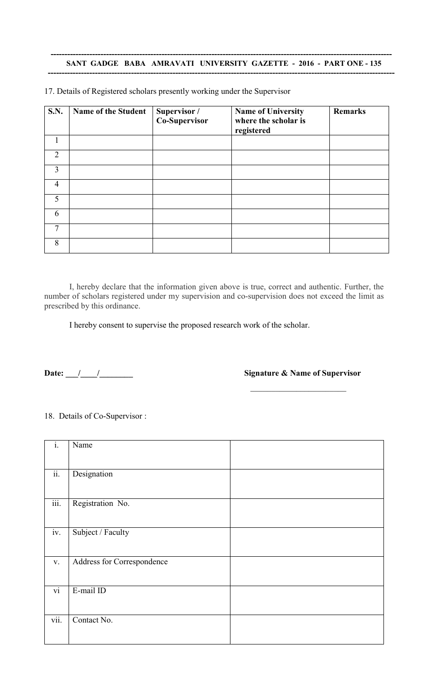| <b>S.N.</b>    | <b>Name of the Student</b> | Supervisor /<br>Co-Supervisor | <b>Name of University</b><br>where the scholar is<br>registered | <b>Remarks</b> |
|----------------|----------------------------|-------------------------------|-----------------------------------------------------------------|----------------|
|                |                            |                               |                                                                 |                |
| $\overline{2}$ |                            |                               |                                                                 |                |
| 3              |                            |                               |                                                                 |                |
| $\overline{4}$ |                            |                               |                                                                 |                |
| 5              |                            |                               |                                                                 |                |
| 6              |                            |                               |                                                                 |                |
| $\mathcal{I}$  |                            |                               |                                                                 |                |
| 8              |                            |                               |                                                                 |                |

17. Details of Registered scholars presently working under the Supervisor

I, hereby declare that the information given above is true, correct and authentic. Further, the number of scholars registered under my supervision and co-supervision does not exceed the limit as prescribed by this ordinance.

I hereby consent to supervise the proposed research work of the scholar.

Date: \_\_\_/\_\_\_\_/\_\_\_\_\_\_\_\_ Signature & Name of Supervisor

 $\overline{\phantom{a}}$  ,  $\overline{\phantom{a}}$  ,  $\overline{\phantom{a}}$  ,  $\overline{\phantom{a}}$  ,  $\overline{\phantom{a}}$  ,  $\overline{\phantom{a}}$  ,  $\overline{\phantom{a}}$  ,  $\overline{\phantom{a}}$  ,  $\overline{\phantom{a}}$  ,  $\overline{\phantom{a}}$  ,  $\overline{\phantom{a}}$  ,  $\overline{\phantom{a}}$  ,  $\overline{\phantom{a}}$  ,  $\overline{\phantom{a}}$  ,  $\overline{\phantom{a}}$  ,  $\overline{\phantom{a}}$ 

## 18. Details of Co-Supervisor :

| $\mathbf{i}$ .            | Name                       |  |
|---------------------------|----------------------------|--|
| $\overline{ii}$ .         | Designation                |  |
| $\overline{\text{iii}}$ . | Registration No.           |  |
| iv.                       | Subject / Faculty          |  |
| V.                        | Address for Correspondence |  |
| $\overline{vi}$           | E-mail ID                  |  |
| vii.                      | Contact No.                |  |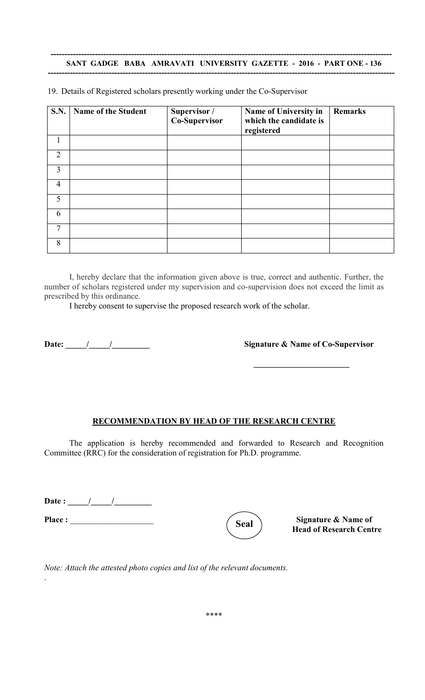#### --------------------------------------------------------------------------------------------------------------------------- SANT GADGE BABA AMRAVATI UNIVERSITY GAZETTE - 2016 - PART ONE - 136 -----------------------------------------------------------------------------------------------------------------------------

| <b>S.N.</b>    | <b>Name of the Student</b> | Supervisor /<br>Co-Supervisor | Name of University in<br>which the candidate is<br>registered | <b>Remarks</b> |
|----------------|----------------------------|-------------------------------|---------------------------------------------------------------|----------------|
|                |                            |                               |                                                               |                |
| $\overline{2}$ |                            |                               |                                                               |                |
| 3              |                            |                               |                                                               |                |
| $\overline{4}$ |                            |                               |                                                               |                |
| 5              |                            |                               |                                                               |                |
| 6              |                            |                               |                                                               |                |
| 7              |                            |                               |                                                               |                |
| 8              |                            |                               |                                                               |                |

19. Details of Registered scholars presently working under the Co-Supervisor

I, hereby declare that the information given above is true, correct and authentic. Further, the number of scholars registered under my supervision and co-supervision does not exceed the limit as prescribed by this ordinance.

I hereby consent to supervise the proposed research work of the scholar.

Date: \_\_\_\_\_/\_\_\_\_\_/\_\_\_\_\_\_\_\_\_ Signature & Name of Co-Supervisor

 $\overline{\phantom{a}}$  , where  $\overline{\phantom{a}}$ 

#### RECOMMENDATION BY HEAD OF THE RESEARCH CENTRE

The application is hereby recommended and forwarded to Research and Recognition Committee (RRC) for the consideration of registration for Ph.D. programme.

Date : \_\_\_\_\_/\_\_\_\_\_/\_\_\_\_\_\_\_\_\_

Place :  $\left(\begin{array}{c} \zeta_{\text{real}} \end{array}\right)$  Signature & Name of



Head of Research Centre

*Note: Attach the attested photo copies and list of the relevant documents.* .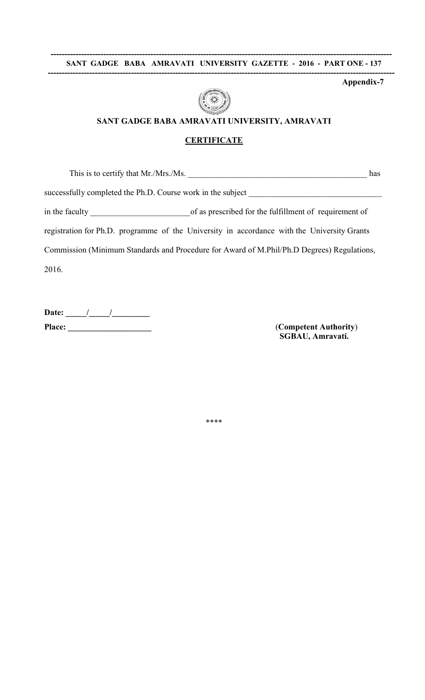#### --------------------------------------------------------------------------------------------------------------------------- SANT GADGE BABA AMRAVATI UNIVERSITY GAZETTE - 2016 - PART ONE - 137 -----------------------------------------------------------------------------------------------------------------------------

Appendix-7



# SANT GADGE BABA AMRAVATI UNIVERSITY, AMRAVATI

#### **CERTIFICATE**

This is to certify that Mr./Mrs./Ms.  $\blacksquare$ 

successfully completed the Ph.D. Course work in the subject

in the faculty of as prescribed for the fulfillment of requirement of

registration for Ph.D. programme of the University in accordance with the University Grants

Commission (Minimum Standards and Procedure for Award of M.Phil/Ph.D Degrees) Regulations,

2016.

Date:  $\frac{1}{\sqrt{2\pi}}$ Place: \_\_\_\_\_\_\_\_\_\_\_\_\_\_\_\_\_\_\_\_ (Competent Authority)

SGBAU, Amravati.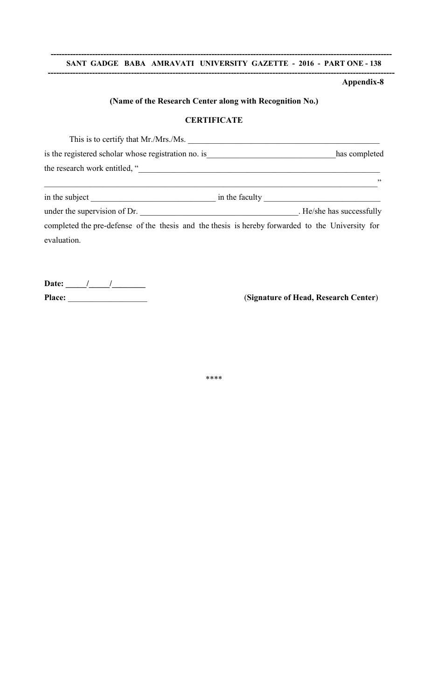#### --------------------------------------------------------------------------------------------------------------------------- SANT GADGE BABA AMRAVATI UNIVERSITY GAZETTE - 2016 - PART ONE - 138

-----------------------------------------------------------------------------------------------------------------------------

## Appendix-8

## (Name of the Research Center along with Recognition No.)

## **CERTIFICATE**

| This is to certify that Mr./Mrs./Ms.                |               |
|-----------------------------------------------------|---------------|
| is the registered scholar whose registration no. is | has completed |
| the research work entitled, "                       |               |
|                                                     | 55            |

| in the subject               | in the faculty |                         |
|------------------------------|----------------|-------------------------|
| under the supervision of Dr. |                | He/she has successfully |

completed the pre-defense of the thesis and the thesis is hereby forwarded to the University for evaluation.

Date:  $\frac{1}{\sqrt{2\pi}}$ 

Place: \_\_\_\_\_\_\_\_\_\_\_\_\_\_\_\_\_\_\_ (Signature of Head, Research Center)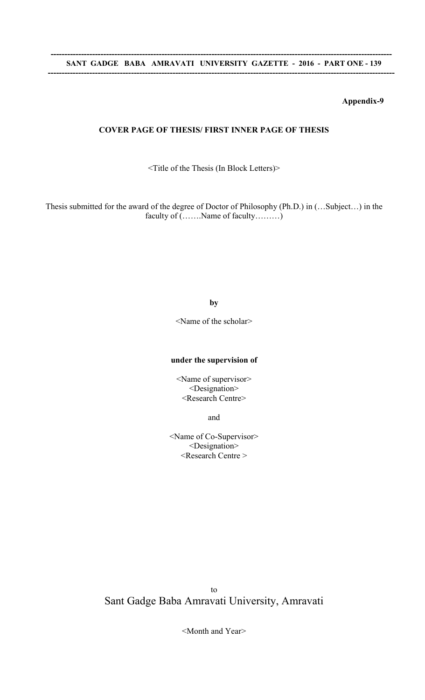## COVER PAGE OF THESIS/ FIRST INNER PAGE OF THESIS

<Title of the Thesis (In Block Letters)>

Thesis submitted for the award of the degree of Doctor of Philosophy (Ph.D.) in (…Subject…) in the faculty of (…….Name of faculty………)

#### by

<Name of the scholar>

#### under the supervision of

<Name of supervisor> <Designation> <Research Centre>

and

<Name of Co-Supervisor> <Designation> <Research Centre >

to Sant Gadge Baba Amravati University, Amravati

<Month and Year>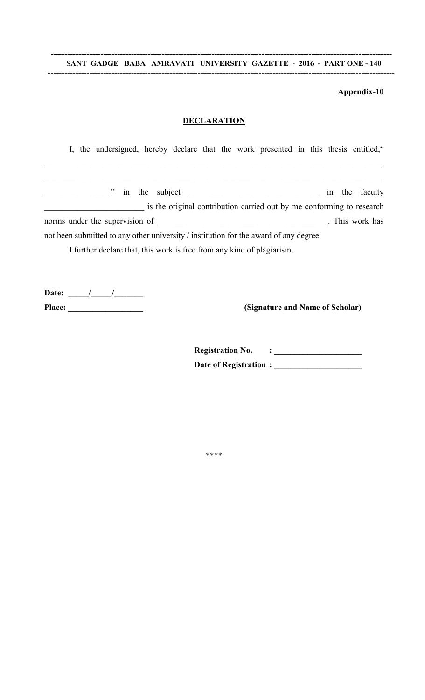#### --------------------------------------------------------------------------------------------------------------------------- SANT GADGE BABA AMRAVATI UNIVERSITY GAZETTE - 2016 - PART ONE - 140 -----------------------------------------------------------------------------------------------------------------------------

#### Appendix-10

#### **DECLARATION**

\_\_\_\_\_\_\_\_\_\_\_\_\_\_\_\_\_\_\_\_\_\_\_\_\_\_\_\_\_\_\_\_\_\_\_\_\_\_\_\_\_\_\_\_\_\_\_\_\_\_\_\_\_\_\_\_\_\_\_\_\_\_\_\_\_\_\_\_\_\_\_\_\_\_\_\_\_\_\_\_\_

\_\_\_\_\_\_\_\_\_\_\_\_\_\_\_\_\_\_\_\_\_\_\_\_\_\_\_\_\_\_\_\_\_\_\_\_\_\_\_\_\_\_\_\_\_\_\_\_\_\_\_\_\_\_\_\_\_\_\_\_\_\_\_\_\_\_\_\_\_\_\_\_\_\_\_\_\_\_\_\_\_

I, the undersigned, hereby declare that the work presented in this thesis entitled,"

| " in the subject                                                                      |  | in the faculty  |
|---------------------------------------------------------------------------------------|--|-----------------|
| is the original contribution carried out by me conforming to research                 |  |                 |
| norms under the supervision of                                                        |  | . This work has |
| not been submitted to any other university / institution for the award of any degree. |  |                 |

I further declare that, this work is free from any kind of plagiarism.

Date:  $\frac{1}{\sqrt{2\pi}}$ Place: \_\_\_\_\_\_\_\_\_\_\_\_\_\_\_\_\_\_ (Signature and Name of Scholar)

Registration No.  $\qquad \qquad : \qquad \qquad 1$ Date of Registration : \_\_\_\_\_\_\_\_\_\_\_\_\_\_\_\_\_\_\_\_\_